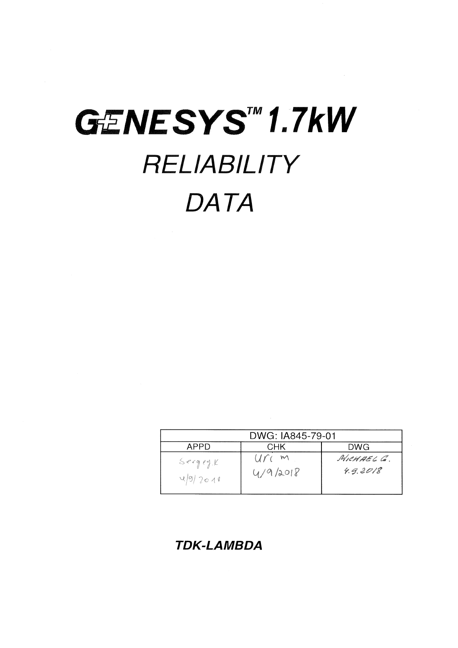# GENESYS™1.7kW RELIABILITY **DATA**

| DWG: IA845-79-01   |                       |                        |  |  |  |  |  |  |
|--------------------|-----------------------|------------------------|--|--|--|--|--|--|
| APPD               | CHK                   | DWG                    |  |  |  |  |  |  |
| SergeyK<br>49/2011 | U(r)<br>M<br>4/9/2018 | MICHAEL C.<br>4.9.2018 |  |  |  |  |  |  |

**TDK-LAMBDA**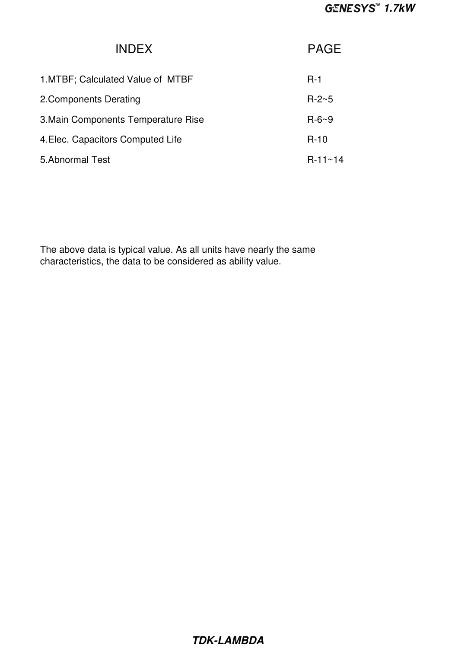| <b>INDEX</b>                        | <b>PAGE</b>      |
|-------------------------------------|------------------|
| 1. MTBF; Calculated Value of MTBF   | $R-1$            |
| 2. Components Derating              | $R - 2 - 5$      |
| 3. Main Components Temperature Rise | $R - 6 - 9$      |
| 4. Elec. Capacitors Computed Life   | $R-10$           |
| 5.Abnormal Test                     | $R - 11 \sim 14$ |

The above data is typical value. As all units have nearly the same characteristics, the data to be considered as ability value.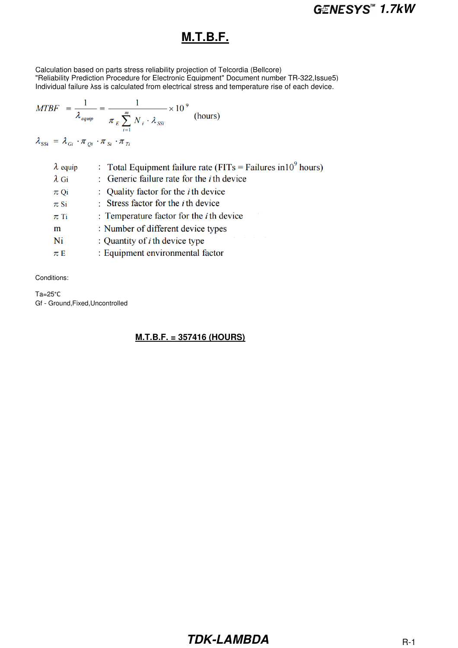#### **M.T.B.F.**

Calculation based on parts stress reliability projection of Telcordia (Bellcore) "Reliability Prediction Procedure for Electronic Equipment" Document number TR-322,Issue5) Individual failure λss is calculated from electrical stress and temperature rise of each device.

$$
MTBF = \frac{1}{\lambda_{\text{equip}}} = \frac{1}{\pi_E \sum_{i=1}^{m} N_i \cdot \lambda_{SSi}} \times 10^{-9}
$$
 (hours)

$$
\lambda_{\rm SSi} \,=\, \lambda_{Gi} \, \cdot \pi_{Qi} \, \cdot \pi_{Si} \, \cdot \pi_{Ti}
$$

| $\lambda$ equip | : Total Equipment failure rate ( $FITs = Failures in 109 hours$ ) |
|-----------------|-------------------------------------------------------------------|
| $\lambda$ Gi    | : Generic failure rate for the <i>i</i> th device                 |
| $\pi$ Qi        | : Quality factor for the <i>i</i> th device                       |
| $\pi$ Si        | : Stress factor for the $i$ th device                             |
| $\pi$ Ti        | : Temperature factor for the $i$ th device                        |
| m               | : Number of different device types                                |
| Ni              | : Quantity of $i$ th device type                                  |
| $\pi E$         | : Equipment environmental factor                                  |

Conditions:

Ta=25°C Gf - Ground,Fixed,Uncontrolled

**M.T.B.F. = 357416 (HOURS)**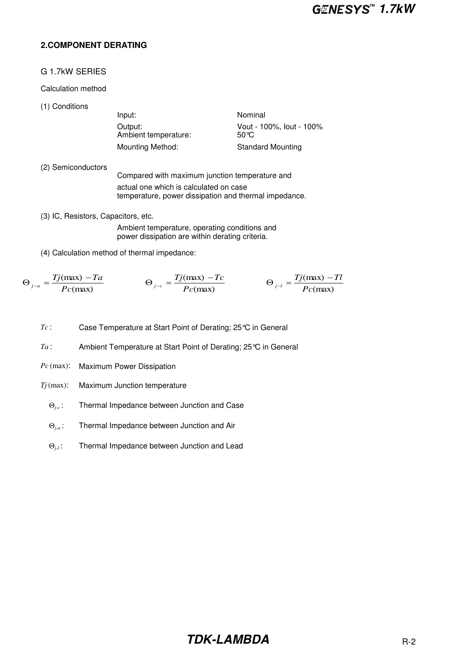#### **2.COMPONENT DERATING**

#### G 1.7kW SERIES

#### Calculation method

(1) Conditions

Input: Nominal Output: Vout - 100%, lout - 100%<br>Ambient temperature: 50 °C Ambient temperature: Mounting Method: Standard Mounting

- (2) Semiconductors Compared with maximum junction temperature and actual one which is calculated on case temperature, power dissipation and thermal impedance.
- (3) IC, Resistors, Capacitors, etc. Ambient temperature, operating conditions and power dissipation are within derating criteria.
- (4) Calculation method of thermal impedance:

$$
\Theta_{j-a} = \frac{Tj(\text{max}) - Ta}{Pc(\text{max})} \qquad \Theta_{j-c} = \frac{Tj(\text{max}) - Tc}{Pc(\text{max})} \qquad \Theta_{j-l} = \frac{Tj(\text{max}) - Tl}{Pc(\text{max})}
$$

- *Tc* : Case Temperature at Start Point of Derating; 25°C in General
- *Ta* : Ambient Temperature at Start Point of Derating; 25°C in General
- *Pc* (max): Maximum Power Dissipation
- *Tj* (max): Maximum Junction temperature
	- Θ*j-c* : Thermal Impedance between Junction and Case
	- Θ*j-a* : Thermal Impedance between Junction and Air
	- Θ*j-l* : Thermal Impedance between Junction and Lead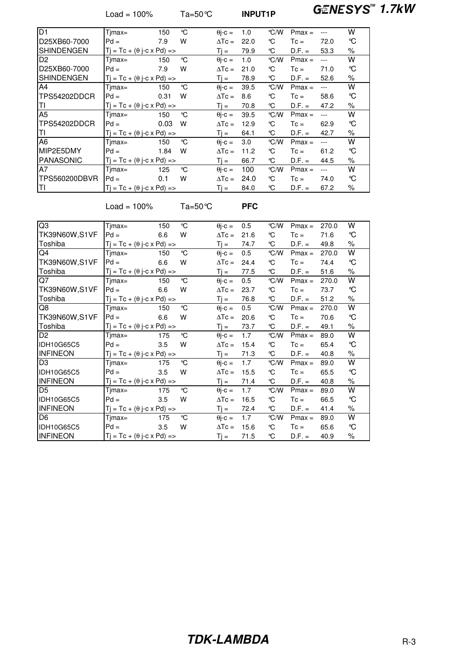Load = 100% Ta=50°C **INPUT1P 1.7kW**

| D1                | $Timax =$                                | 150  | °C | $\theta$ i-c = | 1.0  | °C/W          | $Pmax =$ | ---   | w    |
|-------------------|------------------------------------------|------|----|----------------|------|---------------|----------|-------|------|
| D25XB60-7000      | $Pd =$                                   | 7.9  | w  | $\Delta T_c =$ | 22.0 | °C            | $T_c =$  | 72.0  | ℃    |
| <b>SHINDENGEN</b> | $Tj = Tc + (\theta j-c \times Pd)$ =>    |      |    | Ti =           | 79.9 | ℃             | $D.F. =$ | 53.3  | $\%$ |
| D <sub>2</sub>    | $Timax =$                                | 150  | °C | $\theta$ j-c = | 1.0  | $\degree$ C/W | $Pmax =$ | $---$ | W    |
| D25XB60-7000      | $Pd =$                                   | 7.9  | w  | $\Delta T_c =$ | 21.0 | °C            | $T_c =$  | 71.0  | °C   |
| SHINDENGEN        | $Tj = Tc + (\theta j - c \times Pd)$ =>  |      |    | Ti =           | 78.9 | ℃             | $D.F. =$ | 52.6  | $\%$ |
| A4                | $Timax =$                                | 150  | °C | $\theta$ i-c = | 39.5 | $\degree$ C/W | $Pmax =$ | $---$ | W    |
| TPS54202DDCR      | $Pd =$                                   | 0.31 | w  | $\Delta T_c =$ | 8.6  | °C            | $Tc =$   | 58.6  | ℃    |
| TI                | $T_i = Tc + (\theta i - c \times Pd)$ => |      |    | $Ti =$         | 70.8 | °C            | $D.F. =$ | 47.2  | $\%$ |
| A <sub>5</sub>    | $Timax =$                                | 150  | °C | $\theta$ j-c = | 39.5 | $\degree$ C/W | $Pmax =$ | ---   | W    |
| TPS54202DDCR      | $Pd =$                                   | 0.03 | w  | $\Delta T_c =$ | 12.9 | °C            | $Tc =$   | 62.9  | °C   |
| ΤI                | $T_i = Tc + (\theta i - c \times Pd)$ => |      |    | Ti =           | 64.1 | °C            | $D.F. =$ | 42.7  | $\%$ |
| A6                | $Timax =$                                | 150  | °C | $\theta$ j-c = | 3.0  | $\degree$ C/W | $Pmax =$ | $---$ | w    |
| MIP2E5DMY         | $Pd =$                                   | 1.84 | w  | $\Delta T_c =$ | 11.2 | °C            | $Tc =$   | 61.2  | ℃    |
| PANASONIC         | $T_i = Tc + (\theta i - c \times Pd)$ => |      |    | Ti =           | 66.7 | °C            | $D.F. =$ | 44.5  | $\%$ |
| A7                | $Timax =$                                | 125  | °C | $\theta$ j-c = | 100  | $\degree$ C/W | $Pmax =$ | $---$ | w    |
| TPS560200DBVR     | $Pd =$                                   | 0.1  | w  | $\Delta T$ c = | 24.0 | °C            | $T_c =$  | 74.0  | °C   |
| lΤI               | $Ti = Tc + (\theta i - c \times Pd)$ =>  |      |    | Ti =           | 84.0 | °C            | $D.F. =$ | 67.2  | $\%$ |

Load = 100% Ta=50°C **PFC**

| Q3                | Tjmax=                                  | 150 | °C           | $\theta$ j-c = | 0.5  | °C/W          | $Pmax =$ | 270.0 | w                 |
|-------------------|-----------------------------------------|-----|--------------|----------------|------|---------------|----------|-------|-------------------|
| TK39N60W,S1VF     | $Pd =$                                  | 6.6 | w            | $\Delta T_c =$ | 21.6 | °C            | $T_c =$  | 71.6  | $\mathcal{C}$     |
| Toshiba           | $Tj = Tc + (\theta j-c \times Pd)$ =>   |     |              | $Tj =$         | 74.7 | ℃             | $D.F. =$ | 49.8  | $\%$              |
| Q4                | Tjmax=                                  | 150 | °C           | $\theta$ j-c = | 0.5  | °C/W          | $Pmax =$ | 270.0 | W                 |
| TK39N60W,S1VF     | $Pd =$                                  | 6.6 | W            | $\Delta T_c =$ | 24.4 | °C            | $Tc =$   | 74.4  | °C                |
| Toshiba           | $Tj = Tc + (\theta j-c \times Pd)$ =>   |     |              | $Ti =$         | 77.5 | °C            | $D.F. =$ | 51.6  | $\%$              |
| Q7                | Tjmax=                                  | 150 | $\mathrm{C}$ | $\theta$ j-c = | 0.5  | °C/W          | $Pmax =$ | 270.0 | W                 |
| TK39N60W,S1VF     | $Pd =$                                  | 6.6 | W            | $\Delta T_c =$ | 23.7 | °C            | $Tc =$   | 73.7  | $\mathcal{C}$     |
| Toshiba           | $Tj = Tc + (\theta j-c \times Pd)$ =>   |     |              | $Tj =$         | 76.8 | °C            | $D.F. =$ | 51.2  | $\%$              |
| Q8                | Tjmax=                                  | 150 | °C           | $\theta$ j-c = | 0.5  | °C/W          | $Pmax =$ | 270.0 | W                 |
| TK39N60W,S1VF     | $Pd =$                                  | 6.6 | W            | $\Delta T_c =$ | 20.6 | °C            | $Tc =$   | 70.6  | °C                |
| Toshiba           | $Tj = Tc + (\theta j-c \times Pd)$ =>   |     |              | $Ti =$         | 73.7 | °C            | $D.F. =$ | 49.1  | %                 |
| D <sub>2</sub>    | Tjmax=                                  | 175 | °C           | $\theta$ j-c = | 1.7  | °C/W          | $Pmax =$ | 89.0  | W                 |
| <b>IDH10G65C5</b> | $Pd =$                                  | 3.5 | W            | $\Delta T_c =$ | 15.4 | ℃             | $T_c =$  | 65.4  | °C                |
| <b>INFINEON</b>   | $Tj = Tc + (\theta j-c \times Pd)$ =>   |     |              | $Tj =$         | 71.3 | °C            | $D.F. =$ | 40.8  | $\%$              |
| D <sub>3</sub>    | Tjmax=                                  | 175 | °C           | $\theta$ j-c = | 1.7  | $\degree$ C/W | $Pmax =$ | 89.0  | W                 |
| IDH10G65C5        | $Pd =$                                  | 3.5 | W            | $\Delta T_c =$ | 15.5 | °C            | $T_c =$  | 65.5  | $\rm ^{\circ}\!C$ |
| <b>INFINEON</b>   | $Tj = Tc + (\theta j-c \times Pd)$ =>   |     |              | $T$ $i =$      | 71.4 | °C            | $D.F. =$ | 40.8  | %                 |
| D <sub>5</sub>    | Tjmax=                                  | 175 | °C           | $\theta$ j-c = | 1.7  | $\degree$ C/W | $Pmax =$ | 89.0  | W                 |
| IDH10G65C5        | $Pd =$                                  | 3.5 | W            | $\Delta T_c =$ | 16.5 | ℃             | $Tc =$   | 66.5  | °C                |
| <b>INFINEON</b>   | $Tj = Tc + (\theta j - c \times Pd)$ => |     |              | $Ti =$         | 72.4 | °C            | $D.F. =$ | 41.4  | $\%$              |
| D <sub>6</sub>    | Tjmax=                                  | 175 | °C           | $\theta$ j-c = | 1.7  | $\degree$ C/W | $Pmax =$ | 89.0  | W                 |
| <b>IDH10G65C5</b> | $Pd =$                                  | 3.5 | W            | $\Delta T_c =$ | 15.6 | °C            | $Tc =$   | 65.6  | °C                |
| <b>INFINEON</b>   | $Tj = Tc + (\theta j - c \times Pd)$ => |     |              | $Tj =$         | 71.5 | °C            | $D.F. =$ | 40.9  | $\%$              |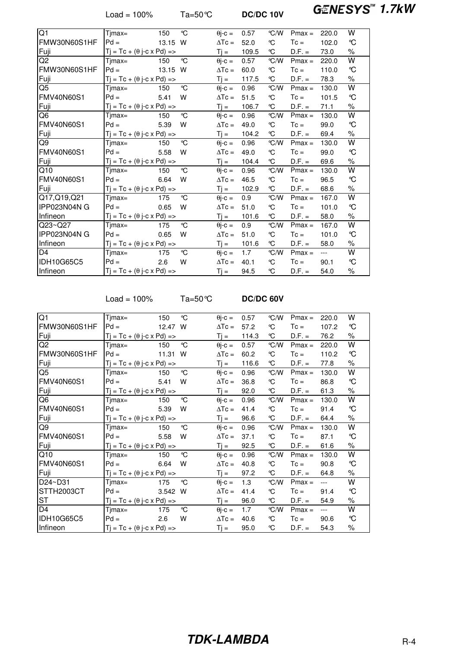Load = 100% Ta=50℃ **DC/DC 10V GENESYS<sup>™</sup> 1.7kW** 

| $\overline{Q1}$   | $Timax =$                                | 150   | °C           | $\theta$ j-c =    | 0.57  | $\degree$ C/W | $Pmax =$ | 220.0 | W                       |
|-------------------|------------------------------------------|-------|--------------|-------------------|-------|---------------|----------|-------|-------------------------|
| FMW30N60S1HF      | $Pd =$                                   | 13.15 | W            | $\Delta T_c =$    | 52.0  | °C            | $Tc =$   | 102.0 | °C                      |
| Fuji              | $Tj = Tc + (\theta j-c \times Pd)$ =>    |       |              | $T$ $i =$         | 109.5 | °C            | $D.F. =$ | 73.0  | $\%$                    |
| Q <sub>2</sub>    | $Timax =$                                | 150   | $\mathrm{C}$ | $\theta$ j-c =    | 0.57  | $\degree$ C/W | $Pmax =$ | 220.0 | W                       |
| FMW30N60S1HF      | $Pd =$                                   | 13.15 | W            | $\Delta T c =$    | 60.0  | ℃             | $T_c =$  | 110.0 | °C                      |
| Fuji              | $Tj = Tc + (\theta j-c \times Pd)$ =>    |       |              | $T$ $i =$         | 117.5 | °C            | $D.F. =$ | 78.3  | $\%$                    |
| $\overline{Q5}$   | $Timax =$                                | 150   | $\mathrm{C}$ | $\theta$ j-c =    | 0.96  | $\degree$ C/W | $Pmax =$ | 130.0 | $\overline{\mathsf{W}}$ |
| <b>FMV40N60S1</b> | $Pd =$                                   | 5.41  | W            | $\Delta T_c =$    | 51.5  | °C            | $T_c =$  | 101.5 | $\mathcal{C}$           |
| Fuji              | $T_i = Tc + (\theta i - c \times Pd)$ => |       |              | $Tj =$            | 106.7 | °C            | $D.F. =$ | 71.1  | $\%$                    |
| Q6                | Timax=                                   | 150   | $\mathrm{C}$ | $\theta$ j-c =    | 0.96  | °C/W          | $Pmax =$ | 130.0 | W                       |
| <b>FMV40N60S1</b> | $Pd =$                                   | 5.39  | W            | $\Delta T_c =$    | 49.0  | °C            | $T_c =$  | 99.0  | $\mathcal{C}$           |
| Fuji              | $Tj = Tc + (\theta j-c \times Pd)$ =>    |       |              | $T$ $=$           | 104.2 | °C            | $D.F. =$ | 69.4  | $\%$                    |
| Q9                | $Timax =$                                | 150   | °C           | $\theta$ j-c =    | 0.96  | $\degree$ C/W | $Pmax =$ | 130.0 | W                       |
| <b>FMV40N60S1</b> | $Pd =$                                   | 5.58  | W            | $\Delta T_c =$    | 49.0  | °C            | $T_c =$  | 99.0  | °C                      |
| Fuji              | $T_i = Tc + (\theta i - c \times Pd)$ => |       |              | $T$ $i =$         | 104.4 | °C            | $D.F. =$ | 69.6  | $\%$                    |
| Q10               | Timax=                                   | 150   | $\mathrm{C}$ | $\theta$ j-c =    | 0.96  | °C/W          | $Pmax =$ | 130.0 | W                       |
| <b>FMV40N60S1</b> | $Pd =$                                   | 6.64  | W            | $\Delta T_c =$    | 46.5  | °C            | $T_c =$  | 96.5  | $\rm ^{\circ}\!C$       |
| Fuji              | $Tj = Tc + (\theta j-c \times Pd)$ =>    |       |              | $T$ $=$           | 102.9 | °C            | $D.F. =$ | 68.6  | $\%$                    |
| Q17,Q19,Q21       | Timax=                                   | 175   | °C           | $\theta$ j-c =    | 0.9   | $\degree$ C/W | $Pmax =$ | 167.0 | W                       |
| IPP023N04N G      | $Pd =$                                   | 0.65  | W            | $\Delta T$ c =    | 51.0  | °C            | $T_c =$  | 101.0 | $\rm ^{\circ}\!C$       |
| Infineon          | $Tj = Tc + (\theta j-c \times Pd)$ =>    |       |              | $T_{\parallel} =$ | 101.6 | °C            | $D.F. =$ | 58.0  | $\%$                    |
| $Q23 - Q27$       | Timax=                                   | 175   | °C           | $\theta$ j-c =    | 0.9   | °C/W          | $Pmax =$ | 167.0 | W                       |
| IPP023N04N G      | $Pd =$                                   | 0.65  | W            | $\Delta T_c =$    | 51.0  | °C            | $T_c =$  | 101.0 | $\mathcal{C}$           |
| Infineon          | $Tj = Tc + (\theta j-c \times Pd)$ =>    |       |              | $Tj =$            | 101.6 | °C            | $D.F. =$ | 58.0  | $\%$                    |
| D <sub>4</sub>    | Tjmax=                                   | 175   | °C           | $\theta$ j-c =    | 1.7   | $\degree$ C/W | $Pmax =$ | $---$ | W                       |
| IDH10G65C5        | $Pd =$                                   | 2.6   | W            | $\Delta T_c =$    | 40.1  | °C            | $T_c =$  | 90.1  | °C                      |
| Infineon          | $Tj = Tc + (\theta j-c \times Pd)$ =>    |       |              | $Tj =$            | 94.5  | °C            | $D.F. =$ | 54.0  | $\%$                    |

Load = 100% Ta=50°C **DC/DC 60V**

| Q1                | Tjmax=                                  | 150     | °C | $\theta$ j-c = | 0.57  | °C/W | $Pmax =$ | 220.0 | W             |
|-------------------|-----------------------------------------|---------|----|----------------|-------|------|----------|-------|---------------|
| FMW30N60S1HF      | $Pd =$                                  | 12.47 W |    | $\Delta T_c =$ | 57.2  | ℃    | $T_c =$  | 107.2 | °C            |
| Fuji              | $Tj = Tc + (\theta j - c \times Pd)$ => |         |    | $Tj =$         | 114.3 | °C   | $D.F. =$ | 76.2  | %             |
| Q2                | Tjmax=                                  | 150     | °C | $\theta$ j-c = | 0.57  | °C/W | $Pmax =$ | 220.0 | W             |
| FMW30N60S1HF      | $Pd =$                                  | 11.31   | W  | $\Delta T_c =$ | 60.2  | ℃    | $T_c =$  | 110.2 | °C            |
| Fuji              | $Tj = Tc + (\theta j-c \times Pd)$ =>   |         |    | $T$ $i =$      | 116.6 | °C   | $D.F. =$ | 77.8  | $\%$          |
| Q <sub>5</sub>    | $Timax =$                               | 150     | ℃  | $\theta$ j-c = | 0.96  | °C/W | $Pmax =$ | 130.0 | W             |
| <b>FMV40N60S1</b> | $Pd =$                                  | 5.41    | W  | $\Delta T c =$ | 36.8  | ℃    | $T_c =$  | 86.8  | °C            |
| Fuji              | $Tj = Tc + (\theta j - c \times Pd)$ => |         |    | $Ti =$         | 92.0  | ℃    | $D.F. =$ | 61.3  | $\%$          |
| Q6                | $Timax =$                               | 150     | °C | $\theta$ j-c = | 0.96  | °C/W | $Pmax =$ | 130.0 | W             |
| <b>FMV40N60S1</b> | $Pd =$                                  | 5.39    | W  | $\Delta T_c =$ | 41.4  | °C   | $T_c =$  | 91.4  | °C            |
| Fuji              | $Tj = Tc + (\theta j-c \times Pd)$ =>   |         |    | $Tj =$         | 96.6  | °C   | $D.F. =$ | 64.4  | $\%$          |
| Q9                | Tjmax=                                  | 150     | °C | $\theta$ j-c = | 0.96  | °C/W | $Pmax =$ | 130.0 | W             |
| <b>FMV40N60S1</b> | $Pd =$                                  | 5.58    | W  | $\Delta T$ c = | 37.1  | °C   | $Tc =$   | 87.1  | °C            |
| Fuji              | $Tj = Tc + (\theta j-c \times Pd)$ =>   |         |    | $Ti =$         | 92.5  | ℃    | $D.F. =$ | 61.6  | %             |
| Q10               | $T$ jmax=                               | 150     | °C | $\theta$ j-c = | 0.96  | °C/W | $Pmax =$ | 130.0 | W             |
| <b>FMV40N60S1</b> | $Pd =$                                  | 6.64    | W  | $\Delta T_c =$ | 40.8  | °C   | $T_c =$  | 90.8  | $\mathcal{C}$ |
| Fuji              | $Tj = Tc + (\theta j-c \times Pd)$ =>   |         |    | $T$ j =        | 97.2  | °C   | $D.F. =$ | 64.8  | $\%$          |
| D24~D31           | Tjmax=                                  | 175     | °C | $\theta$ j-c = | 1.3   | °C/W | $Pmax =$ | $---$ | W             |
| STTH2003CT        | $Pd =$                                  | 3.542 W |    | $\Delta T_c =$ | 41.4  | ℃    | $Tc =$   | 91.4  | °C            |
| ST                | $Tj = Tc + (\theta j-c \times Pd)$ =>   |         |    | $T$ $j =$      | 96.0  | °C   | $D.F. =$ | 54.9  | $\%$          |
| D <sub>4</sub>    | Tjmax=                                  | 175     | °C | $\theta$ j-c = | 1.7   | °C/W | $Pmax =$ | $---$ | W             |
| <b>IDH10G65C5</b> | $Pd =$                                  | 2.6     | W  | $\Delta T_c =$ | 40.6  | ℃    | $Tc =$   | 90.6  | °C            |
| Infineon          | $Tj = Tc + (\theta j - c \times Pd)$ => |         |    | $T$ $i =$      | 95.0  | ℃    | $D.F. =$ | 54.3  | %             |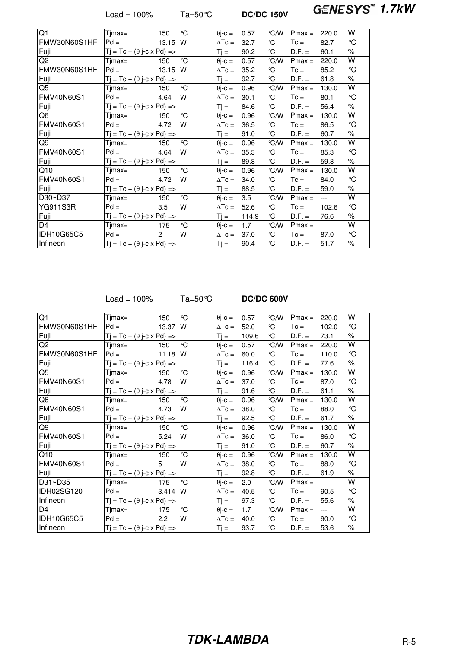Load = 100% Ta=50℃ **DC/DC 150V GENESYS<sup>™</sup> 1.7kW** 

| Q1                | Tjmax=                                  | 150   | °C | $\theta$ j-c = | 0.57  | $\degree$ C/W | $Pmax =$ | 220.0 | w             |
|-------------------|-----------------------------------------|-------|----|----------------|-------|---------------|----------|-------|---------------|
| FMW30N60S1HF      | $Pd =$                                  | 13.15 | W  | $\Delta T_c =$ | 32.7  | °C            | $T_c =$  | 82.7  | $\mathcal{C}$ |
| Fuji              | $Tj = Tc + (\theta j-c \times Pd)$ =>   |       |    | $Tj =$         | 90.2  | °C            | $D.F. =$ | 60.1  | %             |
| $\overline{Q}$    | $Timax =$                               | 150   | °C | $\theta$ j-c = | 0.57  | $\degree$ C/W | $Pmax =$ | 220.0 | W             |
| FMW30N60S1HF      | $Pd =$                                  | 13.15 | w  | $\Delta T_c =$ | 35.2  | °C            | $T_c =$  | 85.2  | °C            |
| Fuji              | $Tj = Tc + (\theta j - c \times Pd)$ => |       |    | $Ti =$         | 92.7  | °C            | $D.F. =$ | 61.8  | $\%$          |
| $\overline{Q5}$   | $Timax =$                               | 150   | °C | $\theta$ j-c = | 0.96  | $\degree$ C/W | $Pmax =$ | 130.0 | W             |
| <b>FMV40N60S1</b> | $Pd =$                                  | 4.64  | w  | $\Delta T c =$ | 30.1  | °C            | $T_c =$  | 80.1  | °C            |
| Fuji              | $Tj = Tc + (\theta j-c \times Pd)$ =>   |       |    | $Tj =$         | 84.6  | ℃             | $D.F. =$ | 56.4  | %             |
| Q <sub>6</sub>    | $Timax =$                               | 150   | °C | $\theta$ j-c = | 0.96  | °C/W          | $Pmax =$ | 130.0 | W             |
| <b>FMV40N60S1</b> | $Pd =$                                  | 4.72  | w  | $\Delta T_c =$ | 36.5  | °C            | $T_c =$  | 86.5  | °C            |
| Fuji              | $Tj = Tc + (\theta j - c \times Pd)$ => |       |    | $Ti =$         | 91.0  | °C            | $D.F. =$ | 60.7  | $\%$          |
| Q9                | $Timax =$                               | 150   | °C | $\theta$ i-c = | 0.96  | $\degree$ C/W | $Pmax =$ | 130.0 | w             |
| <b>FMV40N60S1</b> | $Pd =$                                  | 4.64  | w  | $\Delta T_c =$ | 35.3  | °C            | $T_c =$  | 85.3  | °C            |
| Fuji              | $Tj = Tc + (\theta j-c \times Pd)$ =>   |       |    | $Tj =$         | 89.8  | ℃             | $D.F. =$ | 59.8  | %             |
| Q10               | Tjmax=                                  | 150   | °C | $\theta$ j-c = | 0.96  | °C/W          | $Pmax =$ | 130.0 | W             |
| <b>FMV40N60S1</b> | $Pd =$                                  | 4.72  | w  | $\Delta T_c =$ | 34.0  | °C            | $T_c =$  | 84.0  | °C            |
| Fuji              | $Tj = Tc + (\theta j-c \times Pd)$ =>   |       |    | $Ti =$         | 88.5  | °C            | $D.F. =$ | 59.0  | $\%$          |
| D30~D37           | Tjmax=                                  | 150   | °C | $\theta$ j-c = | 3.5   | $\degree$ C/W | $Pmax =$ | $---$ | W             |
| <b>YG911S3R</b>   | $Pd =$                                  | 3.5   | w  | $\Delta T_c =$ | 52.6  | °C            | $T_c =$  | 102.6 | °C            |
| Fuji              | $Tj = Tc + (\theta j-c \times Pd)$ =>   |       |    | $Tj =$         | 114.9 | °C            | $D.F. =$ | 76.6  | $\%$          |
| $\overline{D}4$   | Timax=                                  | 175   | °C | $\theta$ j-c = | 1.7   | $\degree$ C/W | $Pmax =$ | $---$ | W             |
| <b>IDH10G65C5</b> | $Pd =$                                  | 2     | W  | $\Delta T_c =$ | 37.0  | °C            | $T_c =$  | 87.0  | °C            |
| Infineon          | $Tj = Tc + (\theta j - c \times Pd)$ => |       |    | Ti =           | 90.4  | ℃             | $D.F. =$ | 51.7  | %             |
|                   |                                         |       |    |                |       |               |          |       |               |

Load = 100% Ta=50°C **DC/DC 600V**

| Q1                | Tjmax=                                  | 150     | °C | $\theta$ j-c = | 0.57  | $\degree$ C/W | $Pmax =$ | 220.0 | W                 |
|-------------------|-----------------------------------------|---------|----|----------------|-------|---------------|----------|-------|-------------------|
| FMW30N60S1HF      | $Pd =$                                  | 13.37 W |    | $\Delta T_c =$ | 52.0  | ℃             | $T_c =$  | 102.0 | °C                |
| Fuji              | $Tj = Tc + (\theta j-c \times Pd)$ =>   |         |    | $Tj =$         | 109.6 | ℃             | $D.F. =$ | 73.1  | ℅                 |
| Q <sub>2</sub>    | Tjmax=                                  | 150     | °C | $\theta$ j-c = | 0.57  | °C/W          | $Pmax =$ | 220.0 | W                 |
| FMW30N60S1HF      | $Pd =$                                  | 11.18 W |    | $\Delta T c =$ | 60.0  | °C            | $T_c =$  | 110.0 | °C                |
| Fuji              | $Tj = Tc + (\theta j-c \times Pd)$ =>   |         |    | $Tj =$         | 116.4 | °C            | $D.F. =$ | 77.6  | %                 |
| Q <sub>5</sub>    | Tjmax=                                  | 150     | °C | $\theta$ j-c = | 0.96  | °C/W          | $Pmax =$ | 130.0 | W                 |
| <b>FMV40N60S1</b> | $Pd =$                                  | 4.78    | w  | $\Delta T_c =$ | 37.0  | ℃             | $T_c =$  | 87.0  | $\rm ^{\circ}\!C$ |
| Fuji              | $Tj = Tc + (\theta j-c \times Pd)$ =>   |         |    | $Ti =$         | 91.6  | °C            | $D.F. =$ | 61.1  | $\%$              |
| Q6                | Tjmax=                                  | 150     | °C | $\theta$ j-c = | 0.96  | $\degree$ C/W | $Pmax =$ | 130.0 | W                 |
| <b>FMV40N60S1</b> | $Pd =$                                  | 4.73    | W  | $\Delta T_c =$ | 38.0  | ℃             | $T_c =$  | 88.0  | °C                |
| Fuji              | $Tj = Tc + (\theta j - c \times Pd)$ => |         |    | $Tj =$         | 92.5  | °C            | $D.F. =$ | 61.7  | %                 |
| Q9                | Tjmax=                                  | 150     | °C | $\theta$ j-c = | 0.96  | $\degree$ C/W | $Pmax =$ | 130.0 | W                 |
| <b>FMV40N60S1</b> | $Pd =$                                  | 5.24    | W  | $\Delta T$ c = | 36.0  | ℃             | $T_c =$  | 86.0  | $\mathcal{C}$     |
| Fuji              | $Tj = Tc + (\theta j - c \times Pd)$ => |         |    | $Ti =$         | 91.0  | °C            | $D.F. =$ | 60.7  | $\%$              |
| Q10               | Tjmax=                                  | 150     | °C | $\theta$ j-c = | 0.96  | $\degree$ C/W | $Pmax =$ | 130.0 | W                 |
| <b>FMV40N60S1</b> | $Pd =$                                  | 5       | W  | $\Delta T_c =$ | 38.0  | ℃             | $T_c =$  | 88.0  | $\mathcal{C}$     |
| Fuji              | $Tj = Tc + (\theta j - c \times Pd)$ => |         |    | $Tj =$         | 92.8  | ℃             | $D.F. =$ | 61.9  | ℅                 |
| D31~D35           | Tjmax=                                  | 175     | °C | $\theta$ j-c = | 2.0   | °C/W          | $Pmax =$ | $---$ | W                 |
| IDH02SG120        | $Pd =$                                  | 3.414 W |    | $\Delta T c =$ | 40.5  | °C            | $T_c =$  | 90.5  | °C                |
| Infineon          | $Tj = Tc + (\theta j - c \times Pd)$ => |         |    | $Tj =$         | 97.3  | °C            | $D.F. =$ | 55.6  | %                 |
| D <sub>4</sub>    | Tjmax=                                  | 175     | ℃  | $\theta$ j-c = | 1.7   | °C/W          | $Pmax =$ | $---$ | W                 |
| IDH10G65C5        | $Pd =$                                  | 2.2     | W  | $\Delta T_c =$ | 40.0  | ℃             | $T_c =$  | 90.0  | °C                |
| Infineon          | $Tj = Tc + (\theta j - c \times Pd)$ => |         |    | $Ti =$         | 93.7  | ℃             | $D.F. =$ | 53.6  | %                 |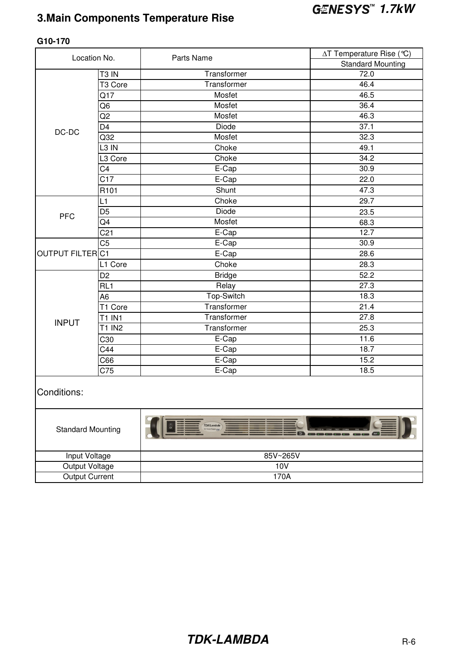### **3.Main Components Temperature Rise**

| Location No.             |                     | Parts Name        | ∆T Temperature Rise (℃)  |  |  |
|--------------------------|---------------------|-------------------|--------------------------|--|--|
|                          |                     |                   | <b>Standard Mounting</b> |  |  |
|                          | T <sub>3</sub> IN   | Transformer       | 72.0                     |  |  |
|                          | T <sub>3</sub> Core | Transformer       | 46.4                     |  |  |
|                          | Q17                 | Mosfet            | 46.5                     |  |  |
|                          | Q6                  | Mosfet            | 36.4                     |  |  |
|                          | Q2                  | Mosfet            | 46.3                     |  |  |
| $DC-DC$                  | D4                  | Diode             | 37.1                     |  |  |
|                          | Q <sub>32</sub>     | Mosfet            | 32.3                     |  |  |
|                          | L3 IN               | Choke             | 49.1                     |  |  |
|                          | L3 Core             | Choke             | 34.2                     |  |  |
|                          | C4                  | E-Cap             | 30.9                     |  |  |
|                          | C17                 | E-Cap             | 22.0                     |  |  |
|                          | R <sub>101</sub>    | Shunt             | 47.3                     |  |  |
|                          | L1                  | Choke             | 29.7                     |  |  |
| <b>PFC</b>               | D <sub>5</sub>      | Diode             | 23.5                     |  |  |
|                          | Q4                  | Mosfet            | 68.3                     |  |  |
|                          | C <sub>21</sub>     | E-Cap             | 12.7                     |  |  |
|                          | $\overline{C5}$     | E-Cap             | 30.9                     |  |  |
| <b>OUTPUT FILTERC1</b>   |                     | $E-Cap$           | 28.6                     |  |  |
|                          | L1 Core             | Choke             | 28.3                     |  |  |
|                          | D <sub>2</sub>      | <b>Bridge</b>     | 52.2                     |  |  |
|                          | RL <sub>1</sub>     | Relay             | 27.3                     |  |  |
|                          | A <sub>6</sub>      | Top-Switch        | 18.3                     |  |  |
|                          | T1 Core             | Transformer       | 21.4                     |  |  |
| <b>INPUT</b>             | <b>T1 IN1</b>       | Transformer       | 27.8                     |  |  |
|                          | <b>T1 IN2</b>       | Transformer       | 25.3                     |  |  |
|                          | C30                 | $E-Cap$           | 11.6                     |  |  |
|                          | C44                 | E-Cap             | 18.7                     |  |  |
|                          | C66                 | E-Cap             | 15.2                     |  |  |
|                          | C75                 | E-Cap             | 18.5                     |  |  |
| Conditions:              |                     |                   |                          |  |  |
| <b>Standard Mounting</b> |                     | <b>TDK-Lambda</b> |                          |  |  |
| Input Voltage            |                     | 85V~265V          |                          |  |  |
| Output Voltage           |                     | 10V               |                          |  |  |
| <b>Output Current</b>    |                     | 170A              |                          |  |  |

#### **G10-170**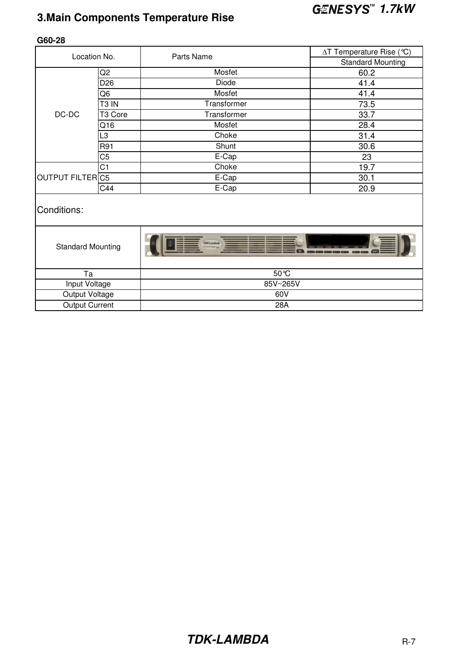## **1.7kW 3.Main Components Temperature Rise**

| Location No.             |                     | Parts Name        | ∆T Temperature Rise (℃)  |  |  |  |  |
|--------------------------|---------------------|-------------------|--------------------------|--|--|--|--|
|                          |                     |                   | <b>Standard Mounting</b> |  |  |  |  |
|                          | Q <sub>2</sub>      | Mosfet            | 60.2                     |  |  |  |  |
|                          | D <sub>26</sub>     | Diode             | 41.4                     |  |  |  |  |
|                          | Q6                  | Mosfet            | 41.4                     |  |  |  |  |
|                          | T <sub>3</sub> IN   | Transformer       | 73.5                     |  |  |  |  |
| DC-DC                    | T <sub>3</sub> Core | Transformer       | 33.7                     |  |  |  |  |
|                          | Q16                 | Mosfet            | 28.4                     |  |  |  |  |
|                          | L3                  | Choke             | 31.4                     |  |  |  |  |
|                          | R91                 | Shunt             | 30.6                     |  |  |  |  |
|                          | C <sub>5</sub>      | E-Cap             | 23                       |  |  |  |  |
|                          | C <sub>1</sub>      | Choke             | 19.7                     |  |  |  |  |
| <b>OUTPUT FILTERC5</b>   |                     | E-Cap             | 30.1                     |  |  |  |  |
|                          | C44                 | E-Cap             | 20.9                     |  |  |  |  |
| Conditions:              |                     |                   |                          |  |  |  |  |
| <b>Standard Mounting</b> |                     | <b>TDK-Lambda</b> | $\overline{a}$           |  |  |  |  |
| Ta                       |                     | $50^{\circ}$ C    |                          |  |  |  |  |
| Input Voltage            |                     | 85V~265V          |                          |  |  |  |  |
| Output Voltage           |                     | 60V               |                          |  |  |  |  |
| <b>Output Current</b>    |                     | 28A               |                          |  |  |  |  |

#### **G60-28**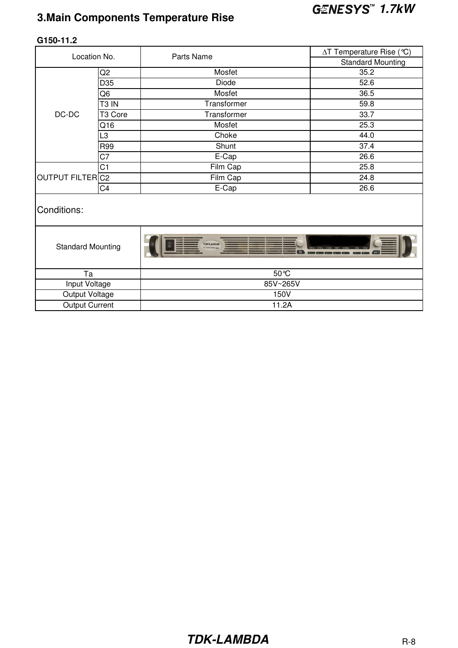## **1.7kW 3.Main Components Temperature Rise**

|                          | Location No.      | Parts Name        | ∆T Temperature Rise (℃)  |  |  |  |  |
|--------------------------|-------------------|-------------------|--------------------------|--|--|--|--|
|                          |                   |                   | <b>Standard Mounting</b> |  |  |  |  |
|                          | Q <sub>2</sub>    | Mosfet            | 35.2                     |  |  |  |  |
|                          | D35               | Diode             | 52.6                     |  |  |  |  |
|                          | Q <sub>6</sub>    | Mosfet            | 36.5                     |  |  |  |  |
|                          | T <sub>3</sub> IN | Transformer       | 59.8                     |  |  |  |  |
| DC-DC                    | T3 Core           | Transformer       | 33.7                     |  |  |  |  |
|                          | Q16               | Mosfet            | 25.3                     |  |  |  |  |
|                          | L3                | Choke             | 44.0                     |  |  |  |  |
|                          | R99               | Shunt             | 37.4                     |  |  |  |  |
|                          | C7                | E-Cap             | 26.6                     |  |  |  |  |
|                          | C <sub>1</sub>    | Film Cap          | 25.8                     |  |  |  |  |
| OUTPUT FILTERC2          |                   | Film Cap          | 24.8                     |  |  |  |  |
|                          | C <sub>4</sub>    | E-Cap             | 26.6                     |  |  |  |  |
| Conditions:              |                   |                   |                          |  |  |  |  |
| <b>Standard Mounting</b> |                   | <b>TDK-Lambda</b> |                          |  |  |  |  |
| Ta                       |                   | $50^{\circ}$ C    |                          |  |  |  |  |
| Input Voltage            |                   | 85V~265V          |                          |  |  |  |  |
| Output Voltage           |                   | 150V              |                          |  |  |  |  |

Output Current 11.2A

#### **G150-11.2**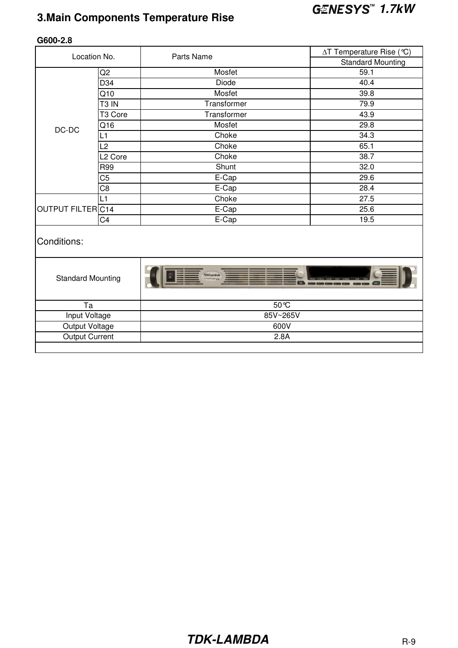## **1.7kW 3.Main Components Temperature Rise**

|                          | Location No.        | Parts Name        | ∆T Temperature Rise (℃)  |  |  |  |  |  |  |  |  |  |
|--------------------------|---------------------|-------------------|--------------------------|--|--|--|--|--|--|--|--|--|
|                          |                     |                   | <b>Standard Mounting</b> |  |  |  |  |  |  |  |  |  |
|                          | Q <sub>2</sub>      | Mosfet            | 59.1                     |  |  |  |  |  |  |  |  |  |
|                          | D34                 | <b>Diode</b>      | 40.4                     |  |  |  |  |  |  |  |  |  |
|                          | Q10                 | Mosfet            | 39.8                     |  |  |  |  |  |  |  |  |  |
|                          | T <sub>3</sub> IN   | Transformer       | 79.9                     |  |  |  |  |  |  |  |  |  |
|                          | T3 Core             | Transformer       | 43.9                     |  |  |  |  |  |  |  |  |  |
| $DC-DC$                  | Q16                 | Mosfet            | 29.8                     |  |  |  |  |  |  |  |  |  |
|                          | L1                  | Choke             | 34.3                     |  |  |  |  |  |  |  |  |  |
|                          | L2                  | Choke             | 65.1                     |  |  |  |  |  |  |  |  |  |
|                          | L <sub>2</sub> Core | Choke             | 38.7                     |  |  |  |  |  |  |  |  |  |
|                          | <b>R99</b>          | Shunt             | 32.0                     |  |  |  |  |  |  |  |  |  |
|                          | C5                  | E-Cap             | 29.6                     |  |  |  |  |  |  |  |  |  |
|                          | C <sub>8</sub>      | E-Cap             | 28.4                     |  |  |  |  |  |  |  |  |  |
|                          | L1                  | Choke             | 27.5                     |  |  |  |  |  |  |  |  |  |
| OUTPUT FILTERC14         |                     | E-Cap             | 25.6                     |  |  |  |  |  |  |  |  |  |
|                          | C <sub>4</sub>      | E-Cap             | 19.5                     |  |  |  |  |  |  |  |  |  |
| Conditions:              |                     |                   |                          |  |  |  |  |  |  |  |  |  |
| <b>Standard Mounting</b> |                     | <b>TDK-Lambda</b> |                          |  |  |  |  |  |  |  |  |  |
| Ta                       |                     | 50 °C             |                          |  |  |  |  |  |  |  |  |  |
| Input Voltage            |                     | 85V~265V          |                          |  |  |  |  |  |  |  |  |  |
| Output Voltage           |                     | 600V              |                          |  |  |  |  |  |  |  |  |  |
| <b>Output Current</b>    |                     | 2.8A              |                          |  |  |  |  |  |  |  |  |  |
|                          |                     |                   |                          |  |  |  |  |  |  |  |  |  |

#### **G600-2.8**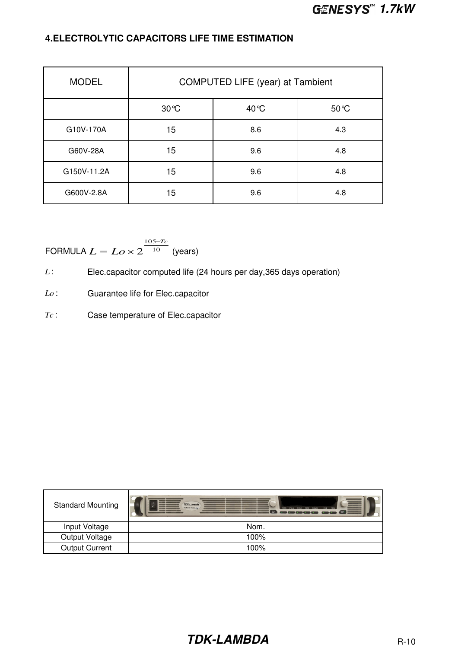#### **4.ELECTROLYTIC CAPACITORS LIFE TIME ESTIMATION**

| <b>MODEL</b> |               | COMPUTED LIFE (year) at Tambient |       |
|--------------|---------------|----------------------------------|-------|
|              | $30^{\circ}C$ | 40 °C                            | 50 °C |
| G10V-170A    | 15            | 8.6                              | 4.3   |
| G60V-28A     | 15            | 9.6                              | 4.8   |
| G150V-11.2A  | 15            | 9.6                              | 4.8   |
| G600V-2.8A   | 15            | 9.6                              | 4.8   |

FORMULA 
$$
L = Lo \times 2^{\frac{105 - Tc}{10}}
$$
 (years)

- *L* : Elec.capacitor computed life (24 hours per day, 365 days operation)
- *Lo* : Guarantee life for Elec.capacitor
- *Tc* : Case temperature of Elec.capacitor

| <b>Standard Mounting</b> | ▆<br><b>TDK-Lambda</b><br>DO Paver Supply LM<br>PROG SYST/6 CONF PROT COMM<br>FINE<br><b>THEFT</b><br>$\overline{a}$<br>Our I |
|--------------------------|-------------------------------------------------------------------------------------------------------------------------------|
| Input Voltage            | Nom.                                                                                                                          |
| Output Voltage           | 100%                                                                                                                          |
| <b>Output Current</b>    | 100%                                                                                                                          |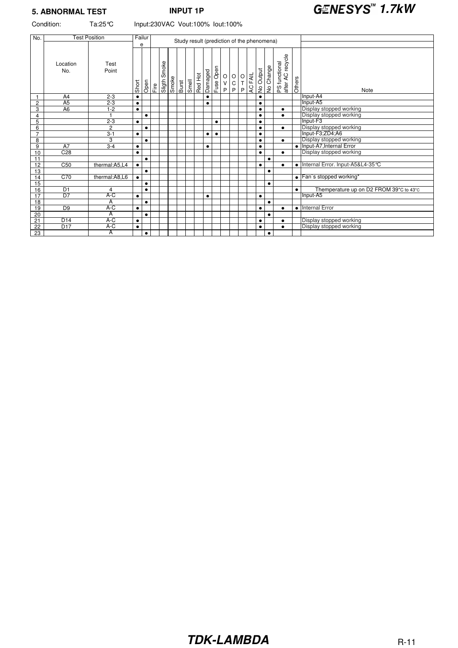## **5. ABNORMAL TEST INPUT 1P 1.7kW**

Condition: Ta:25°C Input:230VAC Vout:100% Iout:100%

| No.             |                 | Failur<br><b>Test Position</b><br>Study result (prediction of the phenomena) |           |           |      |                 |  |                                                                                                                                                                                                            |  |         |           |           |                                              |                                         |  |                       |           |           |                                   |           |                                         |
|-----------------|-----------------|------------------------------------------------------------------------------|-----------|-----------|------|-----------------|--|------------------------------------------------------------------------------------------------------------------------------------------------------------------------------------------------------------|--|---------|-----------|-----------|----------------------------------------------|-----------------------------------------|--|-----------------------|-----------|-----------|-----------------------------------|-----------|-----------------------------------------|
|                 |                 |                                                                              |           | е         |      |                 |  |                                                                                                                                                                                                            |  |         |           |           |                                              |                                         |  |                       |           |           |                                   |           |                                         |
|                 | Location<br>No. | Test<br>Point                                                                | Short     | Open      | Fire | Smoke<br>Sligth |  | $\begin{array}{ c c }\hline \text{S} & \text{if} & \text{if} \\ \hline \text{S} & \text{if} & \text{if} \\ \hline \text{B} & \text{if} & \text{if} \\ \hline \text{S} & \text{if} & \text{if} \end{array}$ |  | Red Hot | Damaged   | Fuse Open | $\begin{array}{c}\n0 \\ V \\ P\n\end{array}$ | $\begin{array}{c}\n0 \\ 0\n\end{array}$ |  | <b>DEAL</b><br>ACFAIL | No Output | No Change | PS functional<br>after AC recycle | Others    | Note                                    |
|                 | A4              | $2 - 3$                                                                      | $\bullet$ |           |      |                 |  |                                                                                                                                                                                                            |  |         | $\bullet$ |           |                                              |                                         |  |                       | $\bullet$ |           |                                   |           | Input-A4                                |
| $\overline{c}$  | A <sub>5</sub>  | $2 - 3$                                                                      | $\bullet$ |           |      |                 |  |                                                                                                                                                                                                            |  |         | $\bullet$ |           |                                              |                                         |  |                       | $\bullet$ |           |                                   |           | Input-A5                                |
| 3               | A <sub>6</sub>  | $1-2$                                                                        | $\bullet$ |           |      |                 |  |                                                                                                                                                                                                            |  |         |           |           |                                              |                                         |  |                       | $\bullet$ |           | $\bullet$                         |           | Display stopped working                 |
| 4               |                 |                                                                              |           | $\bullet$ |      |                 |  |                                                                                                                                                                                                            |  |         |           |           |                                              |                                         |  |                       | $\bullet$ |           | $\bullet$                         |           | Display stopped working                 |
| 5               |                 | $2 - 3$                                                                      | $\bullet$ |           |      |                 |  |                                                                                                                                                                                                            |  |         |           | $\bullet$ |                                              |                                         |  |                       | $\bullet$ |           |                                   |           | Input-F3                                |
| $6\overline{6}$ |                 | $\overline{2}$                                                               |           | $\bullet$ |      |                 |  |                                                                                                                                                                                                            |  |         |           |           |                                              |                                         |  |                       | $\bullet$ |           | $\bullet$                         |           | Display stopped working                 |
| $\overline{7}$  |                 | $3 - 1$                                                                      | $\bullet$ |           |      |                 |  |                                                                                                                                                                                                            |  |         | $\bullet$ | $\bullet$ |                                              |                                         |  |                       | $\bullet$ |           |                                   |           | Input-F3;ZD4;A6                         |
| 8               |                 | 3                                                                            |           | $\bullet$ |      |                 |  |                                                                                                                                                                                                            |  |         |           |           |                                              |                                         |  |                       | ٠         |           | $\bullet$                         |           | Display stopped working                 |
| 9               | A7              | $3-4$                                                                        | $\bullet$ |           |      |                 |  |                                                                                                                                                                                                            |  |         | $\bullet$ |           |                                              |                                         |  |                       | $\bullet$ |           |                                   |           | • Input-A7, Internal Error              |
| 10              | C <sub>28</sub> |                                                                              | ٠         |           |      |                 |  |                                                                                                                                                                                                            |  |         |           |           |                                              |                                         |  |                       | $\bullet$ |           | $\bullet$                         |           | Display stopped working                 |
| 11              |                 |                                                                              |           | $\bullet$ |      |                 |  |                                                                                                                                                                                                            |  |         |           |           |                                              |                                         |  |                       |           | $\bullet$ |                                   |           |                                         |
| 12              | C <sub>50</sub> | thermal:A5,L4                                                                | $\bullet$ |           |      |                 |  |                                                                                                                                                                                                            |  |         |           |           |                                              |                                         |  |                       | $\bullet$ |           | ٠                                 |           | • Internal Error. Input-A5&L4-35 °C     |
| 13              |                 |                                                                              |           | $\bullet$ |      |                 |  |                                                                                                                                                                                                            |  |         |           |           |                                              |                                         |  |                       |           | $\bullet$ |                                   |           |                                         |
| 14              | C70             | thermal:A8,L6                                                                | ٠         |           |      |                 |  |                                                                                                                                                                                                            |  |         |           |           |                                              |                                         |  |                       |           |           |                                   |           | • Fan's stopped working*                |
| 15              |                 |                                                                              |           | $\bullet$ |      |                 |  |                                                                                                                                                                                                            |  |         |           |           |                                              |                                         |  |                       |           | $\bullet$ |                                   |           |                                         |
| 16              | D <sub>1</sub>  | 4                                                                            |           | $\bullet$ |      |                 |  |                                                                                                                                                                                                            |  |         |           |           |                                              |                                         |  |                       |           |           |                                   | $\bullet$ | Themperature up on D2 FROM 39°C to 43°C |
| 17              | D <sub>7</sub>  | A-C                                                                          | $\bullet$ |           |      |                 |  |                                                                                                                                                                                                            |  |         | $\bullet$ |           |                                              |                                         |  |                       | $\bullet$ |           |                                   |           | Input-A5                                |
| 18              |                 | Α                                                                            |           | $\bullet$ |      |                 |  |                                                                                                                                                                                                            |  |         |           |           |                                              |                                         |  |                       |           | $\bullet$ |                                   |           |                                         |
| 19              | D <sub>9</sub>  | A-C                                                                          | $\bullet$ |           |      |                 |  |                                                                                                                                                                                                            |  |         |           |           |                                              |                                         |  |                       | $\bullet$ |           | $\bullet$                         |           | • Internal Error                        |
| 20              |                 | A                                                                            |           | $\bullet$ |      |                 |  |                                                                                                                                                                                                            |  |         |           |           |                                              |                                         |  |                       |           | $\bullet$ |                                   |           |                                         |
| 21              | D14             | A-C                                                                          | $\bullet$ |           |      |                 |  |                                                                                                                                                                                                            |  |         |           |           |                                              |                                         |  |                       | ٠         |           | $\bullet$                         |           | Display stopped working                 |
| 22              | D <sub>17</sub> | A-C                                                                          | $\bullet$ |           |      |                 |  |                                                                                                                                                                                                            |  |         |           |           |                                              |                                         |  |                       | $\bullet$ |           | ٠                                 |           | Display stopped working                 |
| $\overline{23}$ |                 | $\overline{A}$                                                               |           | $\bullet$ |      |                 |  |                                                                                                                                                                                                            |  |         |           |           |                                              |                                         |  |                       |           | $\bullet$ |                                   |           |                                         |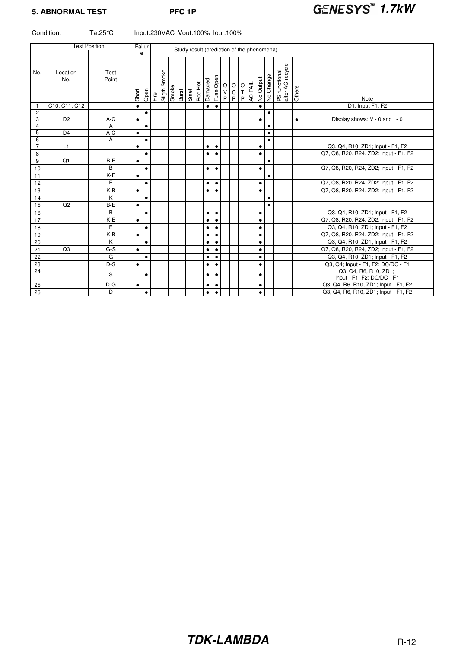|                 | Condition:      | Ta:25 ℃<br>Input:230VAC Vout:100% lout:100% |           |           |                                            |  |                                                 |  |  |         |           |           |  |                             |  |                                      |           |           |                                   |           |                                                     |
|-----------------|-----------------|---------------------------------------------|-----------|-----------|--------------------------------------------|--|-------------------------------------------------|--|--|---------|-----------|-----------|--|-----------------------------|--|--------------------------------------|-----------|-----------|-----------------------------------|-----------|-----------------------------------------------------|
|                 |                 | <b>Test Position</b>                        |           | Failur    | Study result (prediction of the phenomena) |  |                                                 |  |  |         |           |           |  |                             |  |                                      |           |           |                                   |           |                                                     |
|                 |                 |                                             |           | e         |                                            |  |                                                 |  |  |         |           |           |  |                             |  |                                      |           |           |                                   |           |                                                     |
| No.             | Location<br>No. | Test<br>Point                               | Short     | Open      |                                            |  | Fire<br>Sligth Smoke<br>Smoke<br>Burst<br>Smell |  |  | Red Hot | Damaged   |           |  | Fuse Open<br>P < O<br>P O O |  | <b>D</b> H O<br>AC FAIL<br>No Output |           | No Change | PS functional<br>after AC recycle | Others    | Note                                                |
| $\mathbf{1}$    | C10, C11, C12   |                                             |           |           |                                            |  |                                                 |  |  |         | $\bullet$ | $\bullet$ |  |                             |  |                                      | $\bullet$ |           |                                   |           | D1, Input F1, F2                                    |
| $\mathbf{2}$    |                 |                                             |           | $\bullet$ |                                            |  |                                                 |  |  |         |           |           |  |                             |  |                                      |           | $\bullet$ |                                   |           |                                                     |
| 3<br>4          | D <sub>2</sub>  | $A-C$<br>Α                                  | $\bullet$ | $\bullet$ |                                            |  |                                                 |  |  |         |           |           |  |                             |  |                                      | $\bullet$ | $\bullet$ |                                   | $\bullet$ | Display shows: V - 0 and I - 0                      |
| 5               | D <sub>4</sub>  | $A-C$                                       | $\bullet$ |           |                                            |  |                                                 |  |  |         |           |           |  |                             |  |                                      |           | $\bullet$ |                                   |           |                                                     |
| 6               |                 | Α                                           |           | $\bullet$ |                                            |  |                                                 |  |  |         |           |           |  |                             |  |                                      |           | $\bullet$ |                                   |           |                                                     |
| $\overline{7}$  | L1              |                                             | $\bullet$ |           |                                            |  |                                                 |  |  |         | $\bullet$ | $\bullet$ |  |                             |  |                                      | $\bullet$ |           |                                   |           | Q3, Q4, R10, ZD1; Input - F1, F2                    |
| 8               |                 |                                             |           | $\bullet$ |                                            |  |                                                 |  |  |         | $\bullet$ | $\bullet$ |  |                             |  |                                      | $\bullet$ |           |                                   |           | Q7, Q8, R20, R24, ZD2; Input - F1, F2               |
| 9               | Q1              | B-E                                         | $\bullet$ |           |                                            |  |                                                 |  |  |         |           |           |  |                             |  |                                      |           | $\bullet$ |                                   |           |                                                     |
| 10              |                 | В                                           |           | $\bullet$ |                                            |  |                                                 |  |  |         | $\bullet$ | $\bullet$ |  |                             |  |                                      | $\bullet$ |           |                                   |           | Q7, Q8, R20, R24, ZD2; Input - F1, F2               |
| 11              |                 | K-E                                         | $\bullet$ |           |                                            |  |                                                 |  |  |         |           |           |  |                             |  |                                      |           | $\bullet$ |                                   |           |                                                     |
| 12              |                 | E                                           |           | $\bullet$ |                                            |  |                                                 |  |  |         | $\bullet$ | $\bullet$ |  |                             |  |                                      | $\bullet$ |           |                                   |           | Q7, Q8, R20, R24, ZD2; Input - F1, F2               |
| 13              |                 | K-B                                         | $\bullet$ |           |                                            |  |                                                 |  |  |         | $\bullet$ | $\bullet$ |  |                             |  |                                      | $\bullet$ |           |                                   |           | Q7, Q8, R20, R24, ZD2; Input - F1, F2               |
| 14              |                 | K                                           |           | $\bullet$ |                                            |  |                                                 |  |  |         |           |           |  |                             |  |                                      |           | $\bullet$ |                                   |           |                                                     |
| 15              | Q2              | B-E                                         | $\bullet$ |           |                                            |  |                                                 |  |  |         |           |           |  |                             |  |                                      |           | $\bullet$ |                                   |           |                                                     |
| 16              |                 | B                                           |           | $\bullet$ |                                            |  |                                                 |  |  |         | $\bullet$ | $\bullet$ |  |                             |  |                                      | $\bullet$ |           |                                   |           | Q3, Q4, R10, ZD1; Input - F1, F2                    |
| 17              |                 | K-E                                         | $\bullet$ |           |                                            |  |                                                 |  |  |         | $\bullet$ | $\bullet$ |  |                             |  |                                      | $\bullet$ |           |                                   |           | Q7, Q8, R20, R24, ZD2; Input - F1, F2               |
| 18              |                 | E                                           |           | $\bullet$ |                                            |  |                                                 |  |  |         | $\bullet$ | $\bullet$ |  |                             |  |                                      | $\bullet$ |           |                                   |           | Q3, Q4, R10, ZD1; Input - F1, F2                    |
| 19              |                 | K-B                                         |           |           |                                            |  |                                                 |  |  |         | $\bullet$ | $\bullet$ |  |                             |  |                                      | $\bullet$ |           |                                   |           | Q7, Q8, R20, R24, ZD2; Input - F1, F2               |
| 20              |                 | K                                           |           | $\bullet$ |                                            |  |                                                 |  |  |         | $\bullet$ | $\bullet$ |  |                             |  |                                      | $\bullet$ |           |                                   |           | Q3, Q4, R10, ZD1; Input - F1, F2                    |
| 21              | Q3              | $G-S$                                       | $\bullet$ |           |                                            |  |                                                 |  |  |         | $\bullet$ | $\bullet$ |  |                             |  |                                      | $\bullet$ |           |                                   |           | Q7, Q8, R20, R24, ZD2; Input - F1, F2               |
| 22              |                 | G                                           |           | $\bullet$ |                                            |  |                                                 |  |  |         | $\bullet$ | $\bullet$ |  |                             |  |                                      | $\bullet$ |           |                                   |           | Q3, Q4, R10, ZD1; Input - F1, F2                    |
| 23              |                 | $D-S$                                       | $\bullet$ |           |                                            |  |                                                 |  |  |         | $\bullet$ | $\bullet$ |  |                             |  |                                      | $\bullet$ |           |                                   |           | Q3, Q4; Input - F1, F2; DC/DC - F1                  |
| $\overline{24}$ |                 | S                                           |           | $\bullet$ |                                            |  |                                                 |  |  |         | $\bullet$ | $\bullet$ |  |                             |  |                                      | $\bullet$ |           |                                   |           | Q3, Q4, R6, R10, ZD1;<br>Input - F1, F2; DC/DC - F1 |
| 25              |                 | $D-G$                                       | $\bullet$ |           |                                            |  |                                                 |  |  |         | $\bullet$ | $\bullet$ |  |                             |  |                                      | $\bullet$ |           |                                   |           | Q3, Q4, R6, R10, ZD1; Input - F1, F2                |
| 26              |                 | D                                           |           | $\bullet$ |                                            |  |                                                 |  |  |         | $\bullet$ | $\bullet$ |  |                             |  |                                      | $\bullet$ |           |                                   |           | Q3, Q4, R6, R10, ZD1; Input - F1, F2                |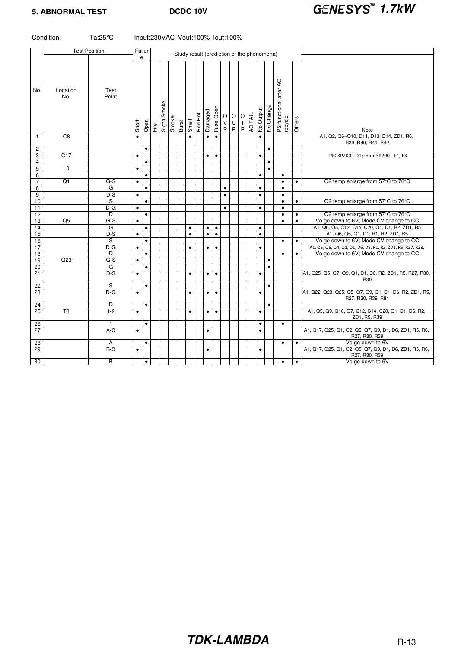## **5. ABNORMAL TEST DCDC 10V CENESYS**<sup>M</sup> **1.7kW**

| <b>Test Position</b><br>Failur<br>Study result (prediction of the phenomena)<br>e<br>PS functional after AC<br>recycle<br>Location<br>Test<br>No.<br>No.<br>Point<br>Smoke<br>No Change<br>Fuse Open<br>No Output<br>Damaged<br>AC FAIL<br>Red Hot<br>$\hbox{O}$<br>$\circ$<br>$\begin{array}{c} \mathsf{O} \\ \mathsf{T} \\ \mathsf{P} \end{array}$<br>Smoke<br>Others<br>Sligth<br>Smell<br>$\sf V$<br>$\overline{C}$ P<br>Short<br>Open<br>Fire<br>Burst<br>P<br>Note<br>A1, Q2, Q6~Q10, D11, D13, D14, ZD1, R6,<br>$\overline{C8}$<br>$\mathbf{1}$<br>$\bullet$<br>$\bullet$<br>$\bullet$<br>$\bullet$<br>$\bullet$<br>R39, R40, R41, R42<br>$\overline{c}$<br>$\bullet$<br>$\bullet$<br>C17<br>3<br>PFC3P200 - D1; Input3P200 - F1, F3<br>$\bullet$<br>$\bullet$<br>$\bullet$<br>$\bullet$<br>4<br>$\bullet$<br>$\bullet$<br>$\overline{5}$<br>L3<br>$\bullet$<br>$\bullet$<br>6<br>$\bullet$<br>$\bullet$<br>$\bullet$<br>$\overline{7}$<br>Q1<br>$G-S$<br>Q2 temp enlarge from 57°C to 76°C<br>$\bullet$<br>$\bullet$<br>$\bullet$<br>8<br>G<br>$\bullet$<br>$\bullet$<br>$\bullet$<br>$\bullet$<br>9<br>$D-S$<br>$\bullet$<br>$\bullet$<br>$\bullet$<br>$\bullet$<br>$\overline{s}$<br>Q2 temp enlarge from 57°C to 76°C<br>10<br>$\bullet$<br>$\bullet$<br>$\bullet$<br>D-G<br>11<br>$\bullet$<br>$\bullet$<br>$\bullet$<br>$\bullet$<br>D<br>12<br>Q2 temp enlarge from 57°C to 76°C<br>$\bullet$<br>$\bullet$<br>$\bullet$<br>Q5<br>G-S<br>Vo go down to 6V; Mode CV change to CC<br>13<br>$\bullet$<br>$\bullet$<br>$\bullet$<br>A1, Q6, Q5, C12, C14, C20, Q1, D1, R2, ZD1, R5<br>14<br>G<br>$\bullet$<br>$\bullet$<br>$\bullet$<br>$\bullet$<br>$\bullet$<br>A1, Q6, Q5, Q1, D1, R1, R2, ZD1, R5<br>15<br>$D-S$<br>$\bullet$<br>$\bullet$<br>$\bullet$<br>$\bullet$<br>$\bullet$<br>S<br>Vo go down to 6V; Mode CV change to CC<br>16<br>$\bullet$<br>$\bullet$<br>$\bullet$<br>$D-G$<br>17<br>A1, Q5, Q6, Q4, Q1, D1, D6, D8, R1, R2, ZD1, R5, R27, R28,<br>$\bullet$<br>$\bullet$<br>$\bullet$<br>$\bullet$<br>$\bullet$<br>18<br>Vo go down to 6V; Mode CV change to CC<br>D<br>$\bullet$<br>$\bullet$<br>$\bullet$<br>Q23<br>$G-S$<br>19<br>$\bullet$<br>$\bullet$<br>20<br>G<br>$\bullet$<br>$\bullet$<br>21<br>$D-S$<br>A1, Q25, Q5~Q7, Q9, Q1, D1, D6, R2, ZD1, R5, R27, R30,<br>$\bullet$<br>$\bullet$<br>$\bullet$<br>$\bullet$<br>$\bullet$<br>R39<br>$\overline{22}$<br>S<br>$\bullet$<br>$\bullet$<br>A1, Q22, Q23, Q25, Q5~Q7, Q9, Q1, D1, D6, R2, ZD1, R5,<br>$D-G$<br>23<br>$\bullet$<br>$\bullet$<br>$\bullet$<br>$\bullet$<br>$\bullet$<br>R27, R30, R39, R84<br>D<br>$\bullet$<br>24<br>$\bullet$<br>$\overline{T3}$<br>25<br>$1 - 2$<br>A1, Q5, Q9, Q10, Q7, C12, C14, C20, Q1, D1, D6, R2,<br>$\bullet$<br>$\bullet$<br>$\bullet$<br>$\bullet$<br>$\bullet$<br>ZD1, R5, R39<br>26<br>$\mathbf{1}$<br>$\bullet$<br>$\bullet$<br>$\bullet$<br>A1, Q17, Q25, Q1, Q2, Q5~Q7, Q9, D1, D6, ZD1, R5, R6,<br>27<br>$A-C$<br>$\bullet$<br>$\bullet$<br>$\bullet$<br>R27, R30, R39 |    | Condition: | Ta:25 ℃ |           | Input:230VAC Vout:100% lout:100% |  |  |  |  |  |  |           |           |                                                       |
|------------------------------------------------------------------------------------------------------------------------------------------------------------------------------------------------------------------------------------------------------------------------------------------------------------------------------------------------------------------------------------------------------------------------------------------------------------------------------------------------------------------------------------------------------------------------------------------------------------------------------------------------------------------------------------------------------------------------------------------------------------------------------------------------------------------------------------------------------------------------------------------------------------------------------------------------------------------------------------------------------------------------------------------------------------------------------------------------------------------------------------------------------------------------------------------------------------------------------------------------------------------------------------------------------------------------------------------------------------------------------------------------------------------------------------------------------------------------------------------------------------------------------------------------------------------------------------------------------------------------------------------------------------------------------------------------------------------------------------------------------------------------------------------------------------------------------------------------------------------------------------------------------------------------------------------------------------------------------------------------------------------------------------------------------------------------------------------------------------------------------------------------------------------------------------------------------------------------------------------------------------------------------------------------------------------------------------------------------------------------------------------------------------------------------------------------------------------------------------------------------------------------------------------------------------------------------------------------------------------------------------------------------------------------------------------------------------------------------------------------------------------------------------------------------------------------------------------------------------------------------------------------------------------------------------------------------------------------------------------------------------|----|------------|---------|-----------|----------------------------------|--|--|--|--|--|--|-----------|-----------|-------------------------------------------------------|
|                                                                                                                                                                                                                                                                                                                                                                                                                                                                                                                                                                                                                                                                                                                                                                                                                                                                                                                                                                                                                                                                                                                                                                                                                                                                                                                                                                                                                                                                                                                                                                                                                                                                                                                                                                                                                                                                                                                                                                                                                                                                                                                                                                                                                                                                                                                                                                                                                                                                                                                                                                                                                                                                                                                                                                                                                                                                                                                                                                                                            |    |            |         |           |                                  |  |  |  |  |  |  |           |           |                                                       |
|                                                                                                                                                                                                                                                                                                                                                                                                                                                                                                                                                                                                                                                                                                                                                                                                                                                                                                                                                                                                                                                                                                                                                                                                                                                                                                                                                                                                                                                                                                                                                                                                                                                                                                                                                                                                                                                                                                                                                                                                                                                                                                                                                                                                                                                                                                                                                                                                                                                                                                                                                                                                                                                                                                                                                                                                                                                                                                                                                                                                            |    |            |         |           |                                  |  |  |  |  |  |  |           |           |                                                       |
|                                                                                                                                                                                                                                                                                                                                                                                                                                                                                                                                                                                                                                                                                                                                                                                                                                                                                                                                                                                                                                                                                                                                                                                                                                                                                                                                                                                                                                                                                                                                                                                                                                                                                                                                                                                                                                                                                                                                                                                                                                                                                                                                                                                                                                                                                                                                                                                                                                                                                                                                                                                                                                                                                                                                                                                                                                                                                                                                                                                                            |    |            |         |           |                                  |  |  |  |  |  |  |           |           |                                                       |
|                                                                                                                                                                                                                                                                                                                                                                                                                                                                                                                                                                                                                                                                                                                                                                                                                                                                                                                                                                                                                                                                                                                                                                                                                                                                                                                                                                                                                                                                                                                                                                                                                                                                                                                                                                                                                                                                                                                                                                                                                                                                                                                                                                                                                                                                                                                                                                                                                                                                                                                                                                                                                                                                                                                                                                                                                                                                                                                                                                                                            |    |            |         |           |                                  |  |  |  |  |  |  |           |           |                                                       |
|                                                                                                                                                                                                                                                                                                                                                                                                                                                                                                                                                                                                                                                                                                                                                                                                                                                                                                                                                                                                                                                                                                                                                                                                                                                                                                                                                                                                                                                                                                                                                                                                                                                                                                                                                                                                                                                                                                                                                                                                                                                                                                                                                                                                                                                                                                                                                                                                                                                                                                                                                                                                                                                                                                                                                                                                                                                                                                                                                                                                            |    |            |         |           |                                  |  |  |  |  |  |  |           |           |                                                       |
|                                                                                                                                                                                                                                                                                                                                                                                                                                                                                                                                                                                                                                                                                                                                                                                                                                                                                                                                                                                                                                                                                                                                                                                                                                                                                                                                                                                                                                                                                                                                                                                                                                                                                                                                                                                                                                                                                                                                                                                                                                                                                                                                                                                                                                                                                                                                                                                                                                                                                                                                                                                                                                                                                                                                                                                                                                                                                                                                                                                                            |    |            |         |           |                                  |  |  |  |  |  |  |           |           |                                                       |
|                                                                                                                                                                                                                                                                                                                                                                                                                                                                                                                                                                                                                                                                                                                                                                                                                                                                                                                                                                                                                                                                                                                                                                                                                                                                                                                                                                                                                                                                                                                                                                                                                                                                                                                                                                                                                                                                                                                                                                                                                                                                                                                                                                                                                                                                                                                                                                                                                                                                                                                                                                                                                                                                                                                                                                                                                                                                                                                                                                                                            |    |            |         |           |                                  |  |  |  |  |  |  |           |           |                                                       |
|                                                                                                                                                                                                                                                                                                                                                                                                                                                                                                                                                                                                                                                                                                                                                                                                                                                                                                                                                                                                                                                                                                                                                                                                                                                                                                                                                                                                                                                                                                                                                                                                                                                                                                                                                                                                                                                                                                                                                                                                                                                                                                                                                                                                                                                                                                                                                                                                                                                                                                                                                                                                                                                                                                                                                                                                                                                                                                                                                                                                            |    |            |         |           |                                  |  |  |  |  |  |  |           |           |                                                       |
|                                                                                                                                                                                                                                                                                                                                                                                                                                                                                                                                                                                                                                                                                                                                                                                                                                                                                                                                                                                                                                                                                                                                                                                                                                                                                                                                                                                                                                                                                                                                                                                                                                                                                                                                                                                                                                                                                                                                                                                                                                                                                                                                                                                                                                                                                                                                                                                                                                                                                                                                                                                                                                                                                                                                                                                                                                                                                                                                                                                                            |    |            |         |           |                                  |  |  |  |  |  |  |           |           |                                                       |
|                                                                                                                                                                                                                                                                                                                                                                                                                                                                                                                                                                                                                                                                                                                                                                                                                                                                                                                                                                                                                                                                                                                                                                                                                                                                                                                                                                                                                                                                                                                                                                                                                                                                                                                                                                                                                                                                                                                                                                                                                                                                                                                                                                                                                                                                                                                                                                                                                                                                                                                                                                                                                                                                                                                                                                                                                                                                                                                                                                                                            |    |            |         |           |                                  |  |  |  |  |  |  |           |           |                                                       |
|                                                                                                                                                                                                                                                                                                                                                                                                                                                                                                                                                                                                                                                                                                                                                                                                                                                                                                                                                                                                                                                                                                                                                                                                                                                                                                                                                                                                                                                                                                                                                                                                                                                                                                                                                                                                                                                                                                                                                                                                                                                                                                                                                                                                                                                                                                                                                                                                                                                                                                                                                                                                                                                                                                                                                                                                                                                                                                                                                                                                            |    |            |         |           |                                  |  |  |  |  |  |  |           |           |                                                       |
|                                                                                                                                                                                                                                                                                                                                                                                                                                                                                                                                                                                                                                                                                                                                                                                                                                                                                                                                                                                                                                                                                                                                                                                                                                                                                                                                                                                                                                                                                                                                                                                                                                                                                                                                                                                                                                                                                                                                                                                                                                                                                                                                                                                                                                                                                                                                                                                                                                                                                                                                                                                                                                                                                                                                                                                                                                                                                                                                                                                                            |    |            |         |           |                                  |  |  |  |  |  |  |           |           |                                                       |
|                                                                                                                                                                                                                                                                                                                                                                                                                                                                                                                                                                                                                                                                                                                                                                                                                                                                                                                                                                                                                                                                                                                                                                                                                                                                                                                                                                                                                                                                                                                                                                                                                                                                                                                                                                                                                                                                                                                                                                                                                                                                                                                                                                                                                                                                                                                                                                                                                                                                                                                                                                                                                                                                                                                                                                                                                                                                                                                                                                                                            |    |            |         |           |                                  |  |  |  |  |  |  |           |           |                                                       |
|                                                                                                                                                                                                                                                                                                                                                                                                                                                                                                                                                                                                                                                                                                                                                                                                                                                                                                                                                                                                                                                                                                                                                                                                                                                                                                                                                                                                                                                                                                                                                                                                                                                                                                                                                                                                                                                                                                                                                                                                                                                                                                                                                                                                                                                                                                                                                                                                                                                                                                                                                                                                                                                                                                                                                                                                                                                                                                                                                                                                            |    |            |         |           |                                  |  |  |  |  |  |  |           |           |                                                       |
|                                                                                                                                                                                                                                                                                                                                                                                                                                                                                                                                                                                                                                                                                                                                                                                                                                                                                                                                                                                                                                                                                                                                                                                                                                                                                                                                                                                                                                                                                                                                                                                                                                                                                                                                                                                                                                                                                                                                                                                                                                                                                                                                                                                                                                                                                                                                                                                                                                                                                                                                                                                                                                                                                                                                                                                                                                                                                                                                                                                                            |    |            |         |           |                                  |  |  |  |  |  |  |           |           |                                                       |
|                                                                                                                                                                                                                                                                                                                                                                                                                                                                                                                                                                                                                                                                                                                                                                                                                                                                                                                                                                                                                                                                                                                                                                                                                                                                                                                                                                                                                                                                                                                                                                                                                                                                                                                                                                                                                                                                                                                                                                                                                                                                                                                                                                                                                                                                                                                                                                                                                                                                                                                                                                                                                                                                                                                                                                                                                                                                                                                                                                                                            |    |            |         |           |                                  |  |  |  |  |  |  |           |           |                                                       |
|                                                                                                                                                                                                                                                                                                                                                                                                                                                                                                                                                                                                                                                                                                                                                                                                                                                                                                                                                                                                                                                                                                                                                                                                                                                                                                                                                                                                                                                                                                                                                                                                                                                                                                                                                                                                                                                                                                                                                                                                                                                                                                                                                                                                                                                                                                                                                                                                                                                                                                                                                                                                                                                                                                                                                                                                                                                                                                                                                                                                            |    |            |         |           |                                  |  |  |  |  |  |  |           |           |                                                       |
|                                                                                                                                                                                                                                                                                                                                                                                                                                                                                                                                                                                                                                                                                                                                                                                                                                                                                                                                                                                                                                                                                                                                                                                                                                                                                                                                                                                                                                                                                                                                                                                                                                                                                                                                                                                                                                                                                                                                                                                                                                                                                                                                                                                                                                                                                                                                                                                                                                                                                                                                                                                                                                                                                                                                                                                                                                                                                                                                                                                                            |    |            |         |           |                                  |  |  |  |  |  |  |           |           |                                                       |
|                                                                                                                                                                                                                                                                                                                                                                                                                                                                                                                                                                                                                                                                                                                                                                                                                                                                                                                                                                                                                                                                                                                                                                                                                                                                                                                                                                                                                                                                                                                                                                                                                                                                                                                                                                                                                                                                                                                                                                                                                                                                                                                                                                                                                                                                                                                                                                                                                                                                                                                                                                                                                                                                                                                                                                                                                                                                                                                                                                                                            |    |            |         |           |                                  |  |  |  |  |  |  |           |           |                                                       |
|                                                                                                                                                                                                                                                                                                                                                                                                                                                                                                                                                                                                                                                                                                                                                                                                                                                                                                                                                                                                                                                                                                                                                                                                                                                                                                                                                                                                                                                                                                                                                                                                                                                                                                                                                                                                                                                                                                                                                                                                                                                                                                                                                                                                                                                                                                                                                                                                                                                                                                                                                                                                                                                                                                                                                                                                                                                                                                                                                                                                            |    |            |         |           |                                  |  |  |  |  |  |  |           |           |                                                       |
|                                                                                                                                                                                                                                                                                                                                                                                                                                                                                                                                                                                                                                                                                                                                                                                                                                                                                                                                                                                                                                                                                                                                                                                                                                                                                                                                                                                                                                                                                                                                                                                                                                                                                                                                                                                                                                                                                                                                                                                                                                                                                                                                                                                                                                                                                                                                                                                                                                                                                                                                                                                                                                                                                                                                                                                                                                                                                                                                                                                                            |    |            |         |           |                                  |  |  |  |  |  |  |           |           |                                                       |
|                                                                                                                                                                                                                                                                                                                                                                                                                                                                                                                                                                                                                                                                                                                                                                                                                                                                                                                                                                                                                                                                                                                                                                                                                                                                                                                                                                                                                                                                                                                                                                                                                                                                                                                                                                                                                                                                                                                                                                                                                                                                                                                                                                                                                                                                                                                                                                                                                                                                                                                                                                                                                                                                                                                                                                                                                                                                                                                                                                                                            |    |            |         |           |                                  |  |  |  |  |  |  |           |           |                                                       |
|                                                                                                                                                                                                                                                                                                                                                                                                                                                                                                                                                                                                                                                                                                                                                                                                                                                                                                                                                                                                                                                                                                                                                                                                                                                                                                                                                                                                                                                                                                                                                                                                                                                                                                                                                                                                                                                                                                                                                                                                                                                                                                                                                                                                                                                                                                                                                                                                                                                                                                                                                                                                                                                                                                                                                                                                                                                                                                                                                                                                            |    |            |         |           |                                  |  |  |  |  |  |  |           |           |                                                       |
|                                                                                                                                                                                                                                                                                                                                                                                                                                                                                                                                                                                                                                                                                                                                                                                                                                                                                                                                                                                                                                                                                                                                                                                                                                                                                                                                                                                                                                                                                                                                                                                                                                                                                                                                                                                                                                                                                                                                                                                                                                                                                                                                                                                                                                                                                                                                                                                                                                                                                                                                                                                                                                                                                                                                                                                                                                                                                                                                                                                                            |    |            |         |           |                                  |  |  |  |  |  |  |           |           |                                                       |
|                                                                                                                                                                                                                                                                                                                                                                                                                                                                                                                                                                                                                                                                                                                                                                                                                                                                                                                                                                                                                                                                                                                                                                                                                                                                                                                                                                                                                                                                                                                                                                                                                                                                                                                                                                                                                                                                                                                                                                                                                                                                                                                                                                                                                                                                                                                                                                                                                                                                                                                                                                                                                                                                                                                                                                                                                                                                                                                                                                                                            |    |            |         |           |                                  |  |  |  |  |  |  |           |           |                                                       |
|                                                                                                                                                                                                                                                                                                                                                                                                                                                                                                                                                                                                                                                                                                                                                                                                                                                                                                                                                                                                                                                                                                                                                                                                                                                                                                                                                                                                                                                                                                                                                                                                                                                                                                                                                                                                                                                                                                                                                                                                                                                                                                                                                                                                                                                                                                                                                                                                                                                                                                                                                                                                                                                                                                                                                                                                                                                                                                                                                                                                            |    |            |         |           |                                  |  |  |  |  |  |  |           |           |                                                       |
|                                                                                                                                                                                                                                                                                                                                                                                                                                                                                                                                                                                                                                                                                                                                                                                                                                                                                                                                                                                                                                                                                                                                                                                                                                                                                                                                                                                                                                                                                                                                                                                                                                                                                                                                                                                                                                                                                                                                                                                                                                                                                                                                                                                                                                                                                                                                                                                                                                                                                                                                                                                                                                                                                                                                                                                                                                                                                                                                                                                                            |    |            |         |           |                                  |  |  |  |  |  |  |           |           |                                                       |
|                                                                                                                                                                                                                                                                                                                                                                                                                                                                                                                                                                                                                                                                                                                                                                                                                                                                                                                                                                                                                                                                                                                                                                                                                                                                                                                                                                                                                                                                                                                                                                                                                                                                                                                                                                                                                                                                                                                                                                                                                                                                                                                                                                                                                                                                                                                                                                                                                                                                                                                                                                                                                                                                                                                                                                                                                                                                                                                                                                                                            |    |            |         |           |                                  |  |  |  |  |  |  |           |           |                                                       |
|                                                                                                                                                                                                                                                                                                                                                                                                                                                                                                                                                                                                                                                                                                                                                                                                                                                                                                                                                                                                                                                                                                                                                                                                                                                                                                                                                                                                                                                                                                                                                                                                                                                                                                                                                                                                                                                                                                                                                                                                                                                                                                                                                                                                                                                                                                                                                                                                                                                                                                                                                                                                                                                                                                                                                                                                                                                                                                                                                                                                            |    |            |         |           |                                  |  |  |  |  |  |  |           |           |                                                       |
|                                                                                                                                                                                                                                                                                                                                                                                                                                                                                                                                                                                                                                                                                                                                                                                                                                                                                                                                                                                                                                                                                                                                                                                                                                                                                                                                                                                                                                                                                                                                                                                                                                                                                                                                                                                                                                                                                                                                                                                                                                                                                                                                                                                                                                                                                                                                                                                                                                                                                                                                                                                                                                                                                                                                                                                                                                                                                                                                                                                                            | 28 |            | Α       | $\bullet$ |                                  |  |  |  |  |  |  | $\bullet$ | $\bullet$ | Vo go down to 6V                                      |
| 29<br>B-C<br>$\bullet$<br>$\bullet$<br>$\bullet$<br>R27, R30, R39                                                                                                                                                                                                                                                                                                                                                                                                                                                                                                                                                                                                                                                                                                                                                                                                                                                                                                                                                                                                                                                                                                                                                                                                                                                                                                                                                                                                                                                                                                                                                                                                                                                                                                                                                                                                                                                                                                                                                                                                                                                                                                                                                                                                                                                                                                                                                                                                                                                                                                                                                                                                                                                                                                                                                                                                                                                                                                                                          |    |            |         |           |                                  |  |  |  |  |  |  |           |           | A1, Q17, Q25, Q1, Q2, Q5~Q7, Q9, D1, D6, ZD1, R5, R6, |
| B<br>Vo go down to 6V<br>30<br>$\bullet$<br>$\bullet$<br>$\bullet$                                                                                                                                                                                                                                                                                                                                                                                                                                                                                                                                                                                                                                                                                                                                                                                                                                                                                                                                                                                                                                                                                                                                                                                                                                                                                                                                                                                                                                                                                                                                                                                                                                                                                                                                                                                                                                                                                                                                                                                                                                                                                                                                                                                                                                                                                                                                                                                                                                                                                                                                                                                                                                                                                                                                                                                                                                                                                                                                         |    |            |         |           |                                  |  |  |  |  |  |  |           |           |                                                       |